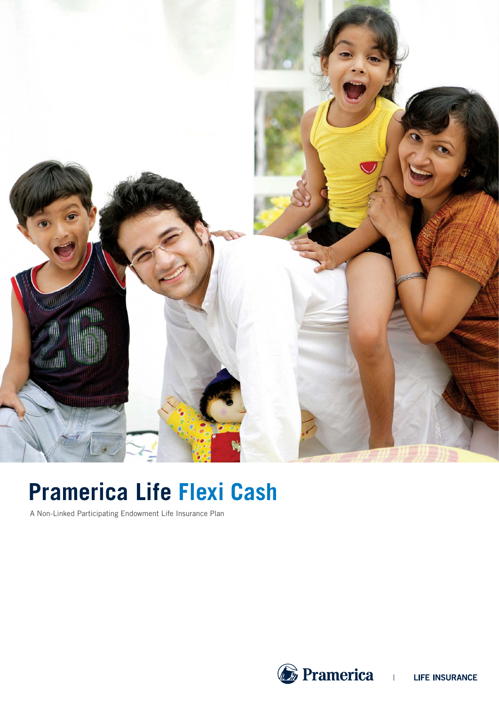

# **Pramerica Life Flexi Cash**

A Non-Linked Participating Endowment Life Insurance Plan

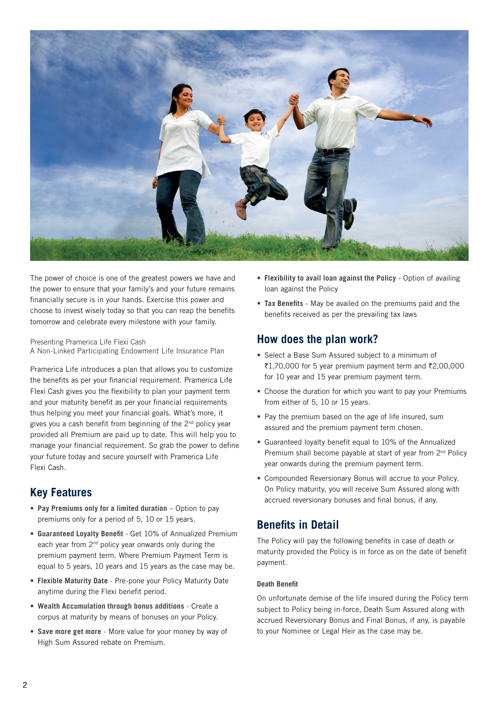

The power of choice is one of the greatest powers we have and the power to ensure that your family's and your future remains financially secure is in your hands. Exercise this power and choose to invest wisely today so that you can reap the benefits tomorrow and celebrate every milestone with your family.

Presenting Pramerica Life Flexi Cash A Non-Linked Participating Endowment Life Insurance Plan

Pramerica Life introduces a plan that allows you to customize the benefits as per your financial requirement. Pramerica Life Flexi Cash gives you the flexibility to plan your payment term and your maturity benefit as per your financial requirements thus helping you meet your financial goals. What's more, it gives you a cash benefit from beginning of the  $2<sup>nd</sup>$  policy year provided all Premium are paid up to date. This will help you to manage your financial requirement. So grab the power to define your future today and secure yourself with Pramerica Life Flexi Cash.

### **Key Features**

- **• Pay Premiums only for a limited duration** Option to pay premiums only for a period of 5, 10 or 15 years.
- **• Guaranteed Loyalty Benefit** Get 10% of Annualized Premium each year from 2<sup>nd</sup> policy year onwards only during the premium payment term. Where Premium Payment Term is equal to 5 years, 10 years and 15 years as the case may be.
- **• Flexible Maturity Date**  Pre-pone your Policy Maturity Date anytime during the Flexi benefit period.
- **• Wealth Accumulation through bonus additions** Create a corpus at maturity by means of bonuses on your Policy.
- **• Save more get more** More value for your money by way of High Sum Assured rebate on Premium.
- **• Flexibility to avail loan against the Policy** Option of availing loan against the Policy
- **• Tax Benefits** May be availed on the premiums paid and the benefits received as per the prevailing tax laws

### **How does the plan work?**

- **•** Select a Base Sum Assured subject to a minimum of  $\overline{21.70,000}$  for 5 year premium payment term and  $\overline{22.00,000}$ for 10 year and 15 year premium payment term.
- **•** Choose the duration for which you want to pay your Premiums from either of 5, 10 or 15 years.
- **•** Pay the premium based on the age of life insured, sum assured and the premium payment term chosen.
- **•** Guaranteed loyalty benefit equal to 10% of the Annualized Premium shall become payable at start of year from 2<sup>nd</sup> Policy year onwards during the premium payment term.
- **•** Compounded Reversionary Bonus will accrue to your Policy. On Policy maturity, you will receive Sum Assured along with accrued reversionary bonuses and final bonus, if any.

# **Benefits in Detail**

The Policy will pay the following benefits in case of death or maturity provided the Policy is in force as on the date of benefit payment.

#### **Death Benefit**

On unfortunate demise of the life insured during the Policy term subject to Policy being in-force, Death Sum Assured along with accrued Reversionary Bonus and Final Bonus, if any, is payable to your Nominee or Legal Heir as the case may be.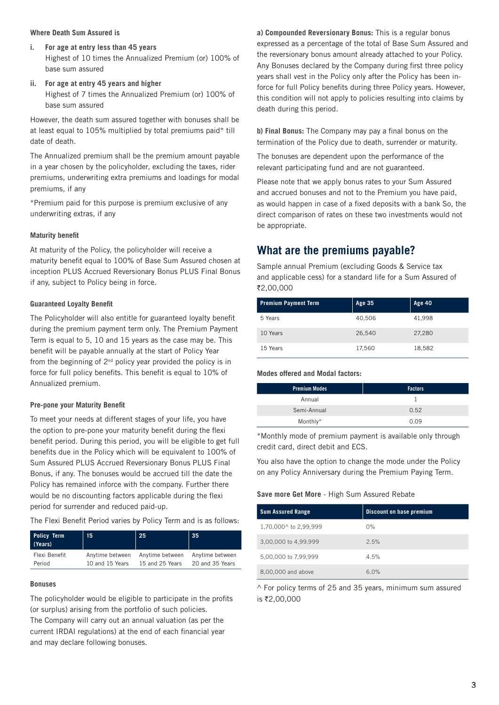#### **Where Death Sum Assured is**

- **i. For age at entry less than 45 years** Highest of 10 times the Annualized Premium (or) 100% of base sum assured
- **ii. For age at entry 45 years and higher** Highest of 7 times the Annualized Premium (or) 100% of base sum assured

However, the death sum assured together with bonuses shall be at least equal to 105% multiplied by total premiums paid\* till date of death.

The Annualized premium shall be the premium amount payable in a year chosen by the policyholder, excluding the taxes, rider premiums, underwriting extra premiums and loadings for modal premiums, if any

\*Premium paid for this purpose is premium exclusive of any underwriting extras, if any

#### **Maturity benefit**

At maturity of the Policy, the policyholder will receive a maturity benefit equal to 100% of Base Sum Assured chosen at inception PLUS Accrued Reversionary Bonus PLUS Final Bonus if any, subject to Policy being in force.

#### **Guaranteed Loyalty Benefit**

The Policyholder will also entitle for guaranteed loyalty benefit during the premium payment term only. The Premium Payment Term is equal to 5, 10 and 15 years as the case may be. This benefit will be payable annually at the start of Policy Year from the beginning of  $2^{nd}$  policy year provided the policy is in force for full policy benefits. This benefit is equal to 10% of Annualized premium.

#### **Pre-pone your Maturity Benefit**

To meet your needs at different stages of your life, you have the option to pre-pone your maturity benefit during the flexi benefit period. During this period, you will be eligible to get full benefits due in the Policy which will be equivalent to 100% of Sum Assured PLUS Accrued Reversionary Bonus PLUS Final Bonus, if any. The bonuses would be accrued till the date the Policy has remained inforce with the company. Further there would be no discounting factors applicable during the flexi period for surrender and reduced paid-up.

The Flexi Benefit Period varies by Policy Term and is as follows:

| <b>Policy Term</b><br>(Years) | 15 <sub>1</sub> | 25              | 35              |
|-------------------------------|-----------------|-----------------|-----------------|
| Flexi Benefit                 | Anytime between | Anytime between | Anytime between |
| Period                        | 10 and 15 Years | 15 and 25 Years | 20 and 35 Years |

#### **Bonuses**

The policyholder would be eligible to participate in the profits (or surplus) arising from the portfolio of such policies.

The Company will carry out an annual valuation (as per the current IRDAI regulations) at the end of each financial year and may declare following bonuses.

**a) Compounded Reversionary Bonus:** This is a regular bonus expressed as a percentage of the total of Base Sum Assured and the reversionary bonus amount already attached to your Policy. Any Bonuses declared by the Company during first three policy years shall vest in the Policy only after the Policy has been inforce for full Policy benefits during three Policy years. However, this condition will not apply to policies resulting into claims by death during this period.

**b) Final Bonus:** The Company may pay a final bonus on the termination of the Policy due to death, surrender or maturity.

The bonuses are dependent upon the performance of the relevant participating fund and are not guaranteed.

Please note that we apply bonus rates to your Sum Assured and accrued bonuses and not to the Premium you have paid, as would happen in case of a fixed deposits with a bank So, the direct comparison of rates on these two investments would not be appropriate.

### **What are the premiums payable?**

Sample annual Premium (excluding Goods & Service tax and applicable cess) for a standard life for a Sum Assured of `2,00,000

| <b>Premium Payment Term</b> | Age 35 | <b>Age 40</b> |
|-----------------------------|--------|---------------|
| 5 Years                     | 40,506 | 41,998        |
| 10 Years                    | 26,540 | 27,280        |
| 15 Years                    | 17,560 | 18,582        |

#### **Modes offered and Modal factors:**

| <b>Premium Modes</b> | <b>Factors</b> |
|----------------------|----------------|
| Annual               |                |
| Semi-Annual          | 0.52           |
| Monthly*             | 0.09           |
|                      |                |

\*Monthly mode of premium payment is available only through credit card, direct debit and ECS.

You also have the option to change the mode under the Policy on any Policy Anniversary during the Premium Paying Term.

#### **Save more Get More** - High Sum Assured Rebate

| <b>Sum Assured Range</b> | <b>Discount on base premium</b> |
|--------------------------|---------------------------------|
| 1,70,000^ to 2,99,999    | 0%                              |
| 3,00,000 to 4,99,999     | 2.5%                            |
| 5,00,000 to 7,99,999     | 4.5%                            |
| 8,00,000 and above       | 6.0%                            |

^ For policy terms of 25 and 35 years, minimum sum assured is ₹2,00,000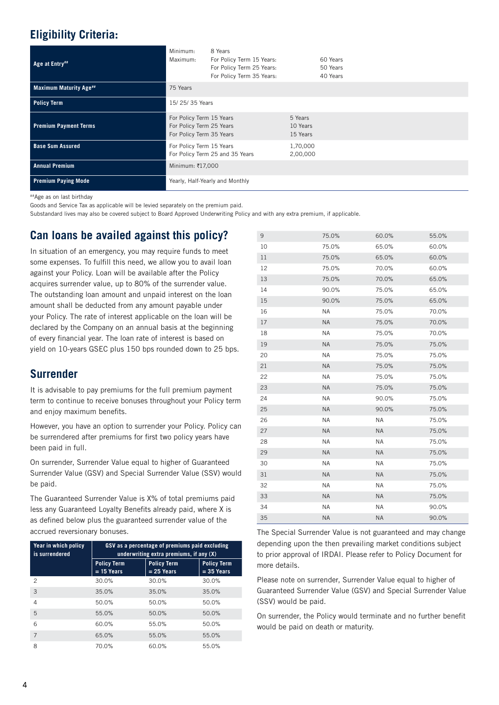# **Eligibility Criteria:**

| Age at Entry##                | Minimum:<br>Maximum:                                                             | 8 Years<br>For Policy Term 15 Years:<br>For Policy Term 25 Years:<br>For Policy Term 35 Years: |                                 | 60 Years<br>50 Years<br>40 Years |
|-------------------------------|----------------------------------------------------------------------------------|------------------------------------------------------------------------------------------------|---------------------------------|----------------------------------|
| <b>Maximum Maturity Age##</b> | 75 Years                                                                         |                                                                                                |                                 |                                  |
| <b>Policy Term</b>            | 15/25/35 Years                                                                   |                                                                                                |                                 |                                  |
| <b>Premium Payment Terms</b>  | For Policy Term 15 Years<br>For Policy Term 25 Years<br>For Policy Term 35 Years |                                                                                                | 5 Years<br>10 Years<br>15 Years |                                  |
| <b>Base Sum Assured</b>       | For Policy Term 15 Years                                                         | For Policy Term 25 and 35 Years                                                                | 1,70,000<br>2,00,000            |                                  |
| <b>Annual Premium</b>         | Minimum: ₹17,000                                                                 |                                                                                                |                                 |                                  |
| <b>Premium Paying Mode</b>    |                                                                                  | Yearly, Half-Yearly and Monthly                                                                |                                 |                                  |

##Age as on last birthday

Goods and Service Tax as applicable will be levied separately on the premium paid.

Substandard lives may also be covered subject to Board Approved Underwriting Policy and with any extra premium, if applicable.

### **Can loans be availed against this policy?**

In situation of an emergency, you may require funds to meet some expenses. To fulfill this need, we allow you to avail loan against your Policy. Loan will be available after the Policy acquires surrender value, up to 80% of the surrender value. The outstanding loan amount and unpaid interest on the loan amount shall be deducted from any amount payable under your Policy. The rate of interest applicable on the loan will be declared by the Company on an annual basis at the beginning of every financial year. The loan rate of interest is based on yield on 10-years GSEC plus 150 bps rounded down to 25 bps.

### **Surrender**

It is advisable to pay premiums for the full premium payment term to continue to receive bonuses throughout your Policy term and enjoy maximum benefits.

However, you have an option to surrender your Policy. Policy can be surrendered after premiums for first two policy years have been paid in full.

On surrender, Surrender Value equal to higher of Guaranteed Surrender Value (GSV) and Special Surrender Value (SSV) would be paid.

The Guaranteed Surrender Value is X% of total premiums paid less any Guaranteed Loyalty Benefits already paid, where X is as defined below plus the guaranteed surrender value of the accrued reversionary bonuses.

| Year in which policy<br>is surrendered | GSV as a percentage of premiums paid excluding<br>underwriting extra premiums, if any $(X)$ |                                    |                                    |  |
|----------------------------------------|---------------------------------------------------------------------------------------------|------------------------------------|------------------------------------|--|
|                                        | <b>Policy Term</b><br>$= 15$ Years                                                          | <b>Policy Term</b><br>$= 25$ Years | <b>Policy Term</b><br>$= 35$ Years |  |
| 2                                      | 30.0%                                                                                       | 30.0%                              | 30.0%                              |  |
| 3                                      | 35.0%                                                                                       | 35.0%                              | 35.0%                              |  |
| $\overline{4}$                         | 50.0%                                                                                       | 50.0%                              | 50.0%                              |  |
| 5                                      | 55.0%                                                                                       | 50.0%                              | 50.0%                              |  |
| 6                                      | 60.0%                                                                                       | 55.0%                              | 50.0%                              |  |
| $\overline{7}$                         | 65.0%                                                                                       | 55.0%                              | 55.0%                              |  |
| 8                                      | 70.0%                                                                                       | 60.0%                              | 55.0%                              |  |

| 9  | 75.0%     | 60.0%     | 55.0% |
|----|-----------|-----------|-------|
| 10 | 75.0%     | 65.0%     | 60.0% |
| 11 | 75.0%     | 65.0%     | 60.0% |
| 12 | 75.0%     | 70.0%     | 60.0% |
| 13 | 75.0%     | 70.0%     | 65.0% |
| 14 | 90.0%     | 75.0%     | 65.0% |
| 15 | 90.0%     | 75.0%     | 65.0% |
| 16 | <b>NA</b> | 75.0%     | 70.0% |
| 17 | <b>NA</b> | 75.0%     | 70.0% |
| 18 | <b>NA</b> | 75.0%     | 70.0% |
| 19 | <b>NA</b> | 75.0%     | 75.0% |
| 20 | <b>NA</b> | 75.0%     | 75.0% |
| 21 | <b>NA</b> | 75.0%     | 75.0% |
| 22 | <b>NA</b> | 75.0%     | 75.0% |
| 23 | <b>NA</b> | 75.0%     | 75.0% |
| 24 | <b>NA</b> | 90.0%     | 75.0% |
| 25 | <b>NA</b> | 90.0%     | 75.0% |
| 26 | <b>NA</b> | <b>NA</b> | 75.0% |
| 27 | <b>NA</b> | <b>NA</b> | 75.0% |
| 28 | <b>NA</b> | <b>NA</b> | 75.0% |
| 29 | <b>NA</b> | <b>NA</b> | 75.0% |
| 30 | <b>NA</b> | <b>NA</b> | 75.0% |
| 31 | <b>NA</b> | <b>NA</b> | 75.0% |
| 32 | <b>NA</b> | <b>NA</b> | 75.0% |
| 33 | <b>NA</b> | <b>NA</b> | 75.0% |
| 34 | <b>NA</b> | <b>NA</b> | 90.0% |
| 35 | <b>NA</b> | <b>NA</b> | 90.0% |

The Special Surrender Value is not guaranteed and may change depending upon the then prevailing market conditions subject to prior approval of IRDAI. Please refer to Policy Document for more details.

Please note on surrender, Surrender Value equal to higher of Guaranteed Surrender Value (GSV) and Special Surrender Value (SSV) would be paid.

On surrender, the Policy would terminate and no further benefit would be paid on death or maturity.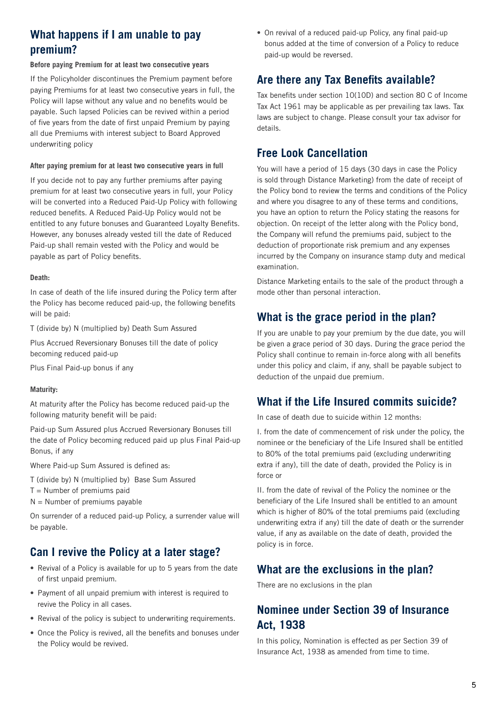# **What happens if I am unable to pay premium?**

#### **Before paying Premium for at least two consecutive years**

If the Policyholder discontinues the Premium payment before paying Premiums for at least two consecutive years in full, the Policy will lapse without any value and no benefits would be payable. Such lapsed Policies can be revived within a period of five years from the date of first unpaid Premium by paying all due Premiums with interest subject to Board Approved underwriting policy

#### **After paying premium for at least two consecutive years in full**

If you decide not to pay any further premiums after paying premium for at least two consecutive years in full, your Policy will be converted into a Reduced Paid-Up Policy with following reduced benefits. A Reduced Paid-Up Policy would not be entitled to any future bonuses and Guaranteed Loyalty Benefits. However, any bonuses already vested till the date of Reduced Paid-up shall remain vested with the Policy and would be payable as part of Policy benefits.

#### **Death:**

In case of death of the life insured during the Policy term after the Policy has become reduced paid-up, the following benefits will be paid:

T (divide by) N (multiplied by) Death Sum Assured

Plus Accrued Reversionary Bonuses till the date of policy becoming reduced paid-up

Plus Final Paid-up bonus if any

#### **Maturity:**

At maturity after the Policy has become reduced paid-up the following maturity benefit will be paid:

Paid-up Sum Assured plus Accrued Reversionary Bonuses till the date of Policy becoming reduced paid up plus Final Paid-up Bonus, if any

Where Paid-up Sum Assured is defined as:

T (divide by) N (multiplied by) Base Sum Assured

- $T =$  Number of premiums paid
- $N =$  Number of premiums payable

On surrender of a reduced paid-up Policy, a surrender value will be payable.

### **Can I revive the Policy at a later stage?**

- **•** Revival of a Policy is available for up to 5 years from the date of first unpaid premium.
- **•** Payment of all unpaid premium with interest is required to revive the Policy in all cases.
- **•** Revival of the policy is subject to underwriting requirements.
- **•** Once the Policy is revived, all the benefits and bonuses under the Policy would be revived.

**•** On revival of a reduced paid-up Policy, any final paid-up bonus added at the time of conversion of a Policy to reduce paid-up would be reversed.

### **Are there any Tax Benefits available?**

Tax benefits under section 10(10D) and section 80 C of Income Tax Act 1961 may be applicable as per prevailing tax laws. Tax laws are subject to change. Please consult your tax advisor for details.

### **Free Look Cancellation**

You will have a period of 15 days (30 days in case the Policy is sold through Distance Marketing) from the date of receipt of the Policy bond to review the terms and conditions of the Policy and where you disagree to any of these terms and conditions, you have an option to return the Policy stating the reasons for objection. On receipt of the letter along with the Policy bond, the Company will refund the premiums paid, subject to the deduction of proportionate risk premium and any expenses incurred by the Company on insurance stamp duty and medical examination.

Distance Marketing entails to the sale of the product through a mode other than personal interaction.

### **What is the grace period in the plan?**

If you are unable to pay your premium by the due date, you will be given a grace period of 30 days. During the grace period the Policy shall continue to remain in-force along with all benefits under this policy and claim, if any, shall be payable subject to deduction of the unpaid due premium.

### **What if the Life Insured commits suicide?**

In case of death due to suicide within 12 months:

I. from the date of commencement of risk under the policy, the nominee or the beneficiary of the Life Insured shall be entitled to 80% of the total premiums paid (excluding underwriting extra if any), till the date of death, provided the Policy is in force or

II. from the date of revival of the Policy the nominee or the beneficiary of the Life Insured shall be entitled to an amount which is higher of 80% of the total premiums paid (excluding underwriting extra if any) till the date of death or the surrender value, if any as available on the date of death, provided the policy is in force.

### **What are the exclusions in the plan?**

There are no exclusions in the plan

# **Nominee under Section 39 of Insurance Act, 1938**

In this policy, Nomination is effected as per Section 39 of Insurance Act, 1938 as amended from time to time.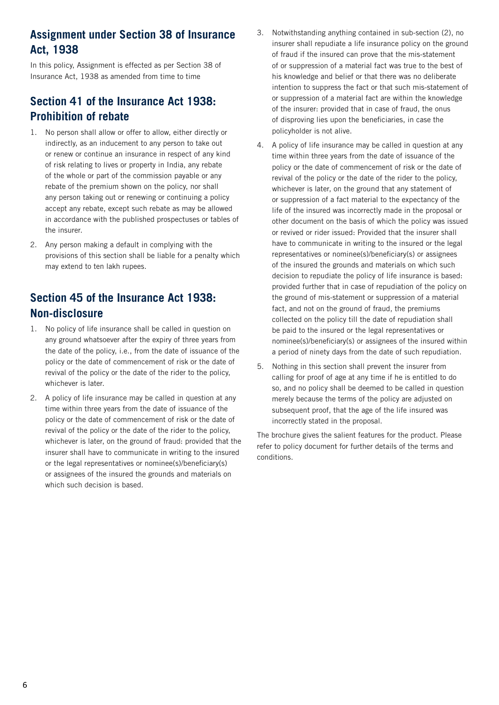# **Assignment under Section 38 of Insurance Act, 1938**

In this policy, Assignment is effected as per Section 38 of Insurance Act, 1938 as amended from time to time

# **Section 41 of the Insurance Act 1938: Prohibition of rebate**

- 1. No person shall allow or offer to allow, either directly or indirectly, as an inducement to any person to take out or renew or continue an insurance in respect of any kind of risk relating to lives or property in India, any rebate of the whole or part of the commission payable or any rebate of the premium shown on the policy, nor shall any person taking out or renewing or continuing a policy accept any rebate, except such rebate as may be allowed in accordance with the published prospectuses or tables of the insurer.
- 2. Any person making a default in complying with the provisions of this section shall be liable for a penalty which may extend to ten lakh rupees.

# **Section 45 of the Insurance Act 1938: Non-disclosure**

- 1. No policy of life insurance shall be called in question on any ground whatsoever after the expiry of three years from the date of the policy, i.e., from the date of issuance of the policy or the date of commencement of risk or the date of revival of the policy or the date of the rider to the policy, whichever is later.
- 2. A policy of life insurance may be called in question at any time within three years from the date of issuance of the policy or the date of commencement of risk or the date of revival of the policy or the date of the rider to the policy, whichever is later, on the ground of fraud: provided that the insurer shall have to communicate in writing to the insured or the legal representatives or nominee(s)/beneficiary(s) or assignees of the insured the grounds and materials on which such decision is based.
- 3. Notwithstanding anything contained in sub-section (2), no insurer shall repudiate a life insurance policy on the ground of fraud if the insured can prove that the mis-statement of or suppression of a material fact was true to the best of his knowledge and belief or that there was no deliberate intention to suppress the fact or that such mis-statement of or suppression of a material fact are within the knowledge of the insurer: provided that in case of fraud, the onus of disproving lies upon the beneficiaries, in case the policyholder is not alive.
- 4. A policy of life insurance may be called in question at any time within three years from the date of issuance of the policy or the date of commencement of risk or the date of revival of the policy or the date of the rider to the policy, whichever is later, on the ground that any statement of or suppression of a fact material to the expectancy of the life of the insured was incorrectly made in the proposal or other document on the basis of which the policy was issued or revived or rider issued: Provided that the insurer shall have to communicate in writing to the insured or the legal representatives or nominee(s)/beneficiary(s) or assignees of the insured the grounds and materials on which such decision to repudiate the policy of life insurance is based: provided further that in case of repudiation of the policy on the ground of mis-statement or suppression of a material fact, and not on the ground of fraud, the premiums collected on the policy till the date of repudiation shall be paid to the insured or the legal representatives or nominee(s)/beneficiary(s) or assignees of the insured within a period of ninety days from the date of such repudiation.
- 5. Nothing in this section shall prevent the insurer from calling for proof of age at any time if he is entitled to do so, and no policy shall be deemed to be called in question merely because the terms of the policy are adjusted on subsequent proof, that the age of the life insured was incorrectly stated in the proposal.

The brochure gives the salient features for the product. Please refer to policy document for further details of the terms and conditions.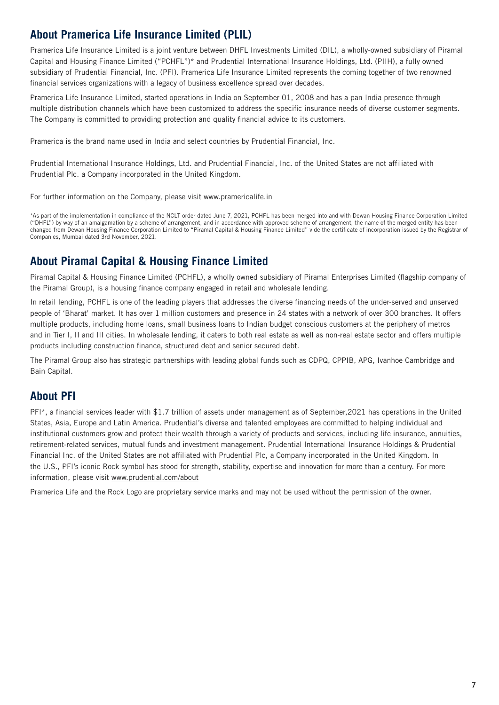# **About Pramerica Life Insurance Limited (PLIL)**

Pramerica Life Insurance Limited is a joint venture between DHFL Investments Limited (DIL), a wholly-owned subsidiary of Piramal Capital and Housing Finance Limited ("PCHFL")\* and Prudential International Insurance Holdings, Ltd. (PIIH), a fully owned subsidiary of Prudential Financial, Inc. (PFI). Pramerica Life Insurance Limited represents the coming together of two renowned financial services organizations with a legacy of business excellence spread over decades.

Pramerica Life Insurance Limited, started operations in India on September 01, 2008 and has a pan India presence through multiple distribution channels which have been customized to address the specific insurance needs of diverse customer segments. The Company is committed to providing protection and quality financial advice to its customers.

Pramerica is the brand name used in India and select countries by Prudential Financial, Inc.

Prudential International Insurance Holdings, Ltd. and Prudential Financial, Inc. of the United States are not affiliated with Prudential Plc. a Company incorporated in the United Kingdom.

For further information on the Company, please visit www.pramericalife.in

\*As part of the implementation in compliance of the NCLT order dated June 7, 2021, PCHFL has been merged into and with Dewan Housing Finance Corporation Limited ("DHFL") by way of an amalgamation by a scheme of arrangement, and in accordance with approved scheme of arrangement, the name of the merged entity has been changed from Dewan Housing Finance Corporation Limited to "Piramal Capital & Housing Finance Limited" vide the certificate of incorporation issued by the Registrar of Companies, Mumbai dated 3rd November, 2021.

# **About Piramal Capital & Housing Finance Limited**

Piramal Capital & Housing Finance Limited (PCHFL), a wholly owned subsidiary of Piramal Enterprises Limited (flagship company of the Piramal Group), is a housing finance company engaged in retail and wholesale lending.

In retail lending, PCHFL is one of the leading players that addresses the diverse financing needs of the under-served and unserved people of 'Bharat' market. It has over 1 million customers and presence in 24 states with a network of over 300 branches. It offers multiple products, including home loans, small business loans to Indian budget conscious customers at the periphery of metros and in Tier I, II and III cities. In wholesale lending, it caters to both real estate as well as non-real estate sector and offers multiple products including construction finance, structured debt and senior secured debt.

The Piramal Group also has strategic partnerships with leading global funds such as CDPQ, CPPIB, APG, Ivanhoe Cambridge and Bain Capital.

## **About PFI**

PFI\*, a financial services leader with \$1.7 trillion of assets under management as of September,2021 has operations in the United States, Asia, Europe and Latin America. Prudential's diverse and talented employees are committed to helping individual and institutional customers grow and protect their wealth through a variety of products and services, including life insurance, annuities, retirement-related services, mutual funds and investment management. Prudential International Insurance Holdings & Prudential Financial Inc. of the United States are not affiliated with Prudential Plc, a Company incorporated in the United Kingdom. In the U.S., PFI's iconic Rock symbol has stood for strength, stability, expertise and innovation for more than a century. For more information, please visit www.prudential.com/about

Pramerica Life and the Rock Logo are proprietary service marks and may not be used without the permission of the owner.